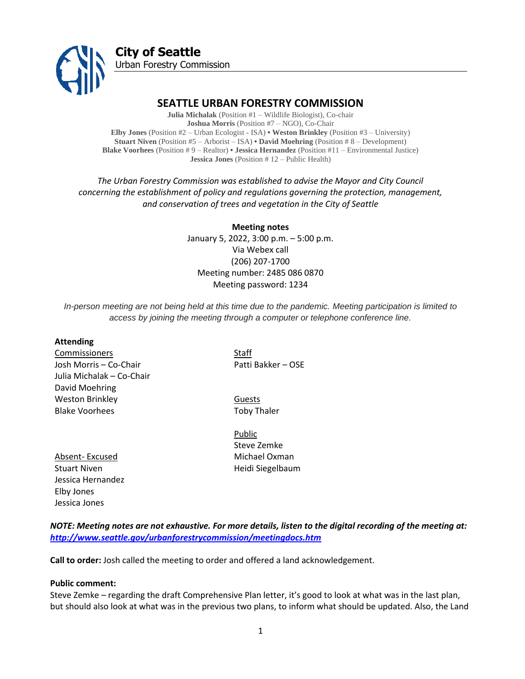

# **SEATTLE URBAN FORESTRY COMMISSION**

**Julia Michalak** (Position #1 – Wildlife Biologist), Co-chair **Joshua Morris** (Position #7 – NGO), Co-Chair **Elby Jones** (Position #2 – Urban Ecologist - ISA) **• Weston Brinkley** (Position #3 – University) **Stuart Niven** (Position #5 – Arborist – ISA) **• David Moehring** (Position # 8 – Development) **Blake Voorhees** (Position # 9 – Realtor) **• Jessica Hernandez** (Position #11 – Environmental Justice) **Jessica Jones** (Position # 12 – Public Health)

*The Urban Forestry Commission was established to advise the Mayor and City Council concerning the establishment of policy and regulations governing the protection, management, and conservation of trees and vegetation in the City of Seattle*

#### **Meeting notes**

January 5, 2022, 3:00 p.m. – 5:00 p.m. Via Webex call (206) 207-1700 Meeting number: 2485 086 0870 Meeting password: 1234

*In-person meeting are not being held at this time due to the pandemic. Meeting participation is limited to access by joining the meeting through a computer or telephone conference line.*

#### **Attending**

**Commissioners** Staff Josh Morris – Co-Chair Patti Bakker – OSE Julia Michalak – Co-Chair David Moehring Weston Brinkley **Guests Guests** Blake Voorhees Toby Thaler

Absent- Excused Michael Oxman Stuart Niven **Heidi Siegelbaum** Jessica Hernandez Elby Jones Jessica Jones

Public Steve Zemke

*NOTE: Meeting notes are not exhaustive. For more details, listen to the digital recording of the meeting at: <http://www.seattle.gov/urbanforestrycommission/meetingdocs.htm>*

**Call to order:** Josh called the meeting to order and offered a land acknowledgement.

#### **Public comment:**

Steve Zemke – regarding the draft Comprehensive Plan letter, it's good to look at what was in the last plan, but should also look at what was in the previous two plans, to inform what should be updated. Also, the Land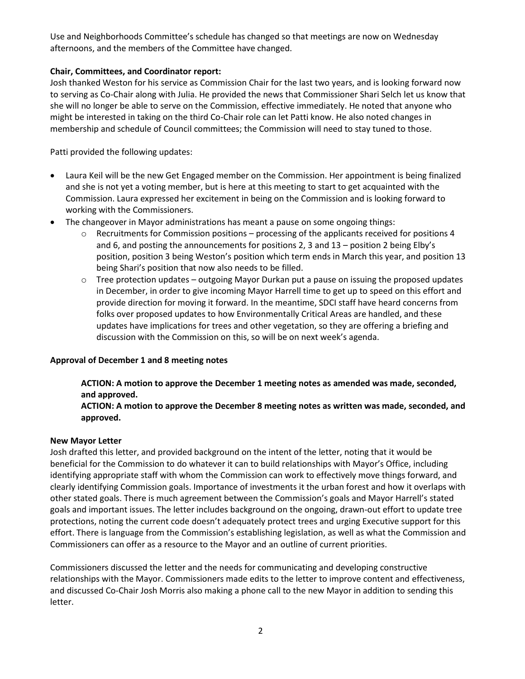Use and Neighborhoods Committee's schedule has changed so that meetings are now on Wednesday afternoons, and the members of the Committee have changed.

## **Chair, Committees, and Coordinator report:**

Josh thanked Weston for his service as Commission Chair for the last two years, and is looking forward now to serving as Co-Chair along with Julia. He provided the news that Commissioner Shari Selch let us know that she will no longer be able to serve on the Commission, effective immediately. He noted that anyone who might be interested in taking on the third Co-Chair role can let Patti know. He also noted changes in membership and schedule of Council committees; the Commission will need to stay tuned to those.

Patti provided the following updates:

- Laura Keil will be the new Get Engaged member on the Commission. Her appointment is being finalized and she is not yet a voting member, but is here at this meeting to start to get acquainted with the Commission. Laura expressed her excitement in being on the Commission and is looking forward to working with the Commissioners.
- The changeover in Mayor administrations has meant a pause on some ongoing things:
	- $\circ$  Recruitments for Commission positions processing of the applicants received for positions 4 and 6, and posting the announcements for positions 2, 3 and 13 – position 2 being Elby's position, position 3 being Weston's position which term ends in March this year, and position 13 being Shari's position that now also needs to be filled.
	- $\circ$  Tree protection updates outgoing Mayor Durkan put a pause on issuing the proposed updates in December, in order to give incoming Mayor Harrell time to get up to speed on this effort and provide direction for moving it forward. In the meantime, SDCI staff have heard concerns from folks over proposed updates to how Environmentally Critical Areas are handled, and these updates have implications for trees and other vegetation, so they are offering a briefing and discussion with the Commission on this, so will be on next week's agenda.

### **Approval of December 1 and 8 meeting notes**

# **ACTION: A motion to approve the December 1 meeting notes as amended was made, seconded, and approved.**

## **ACTION: A motion to approve the December 8 meeting notes as written was made, seconded, and approved.**

### **New Mayor Letter**

Josh drafted this letter, and provided background on the intent of the letter, noting that it would be beneficial for the Commission to do whatever it can to build relationships with Mayor's Office, including identifying appropriate staff with whom the Commission can work to effectively move things forward, and clearly identifying Commission goals. Importance of investments it the urban forest and how it overlaps with other stated goals. There is much agreement between the Commission's goals and Mayor Harrell's stated goals and important issues. The letter includes background on the ongoing, drawn-out effort to update tree protections, noting the current code doesn't adequately protect trees and urging Executive support for this effort. There is language from the Commission's establishing legislation, as well as what the Commission and Commissioners can offer as a resource to the Mayor and an outline of current priorities.

Commissioners discussed the letter and the needs for communicating and developing constructive relationships with the Mayor. Commissioners made edits to the letter to improve content and effectiveness, and discussed Co-Chair Josh Morris also making a phone call to the new Mayor in addition to sending this letter.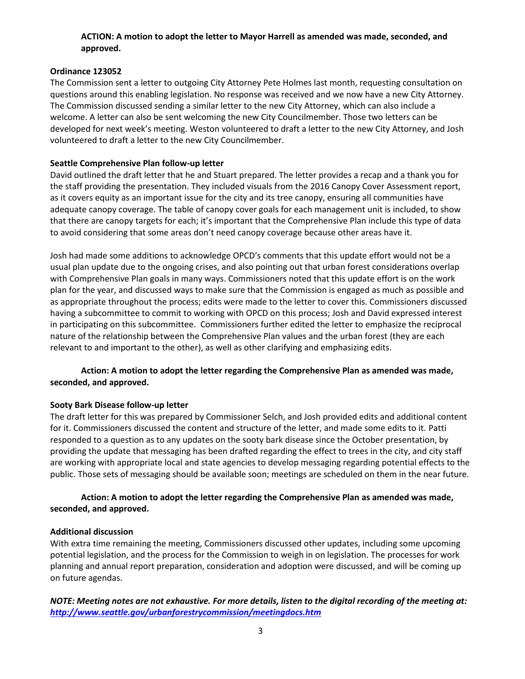## **ACTION: A motion to adopt the letter to Mayor Harrell as amended was made, seconded, and approved.**

### **Ordinance 123052**

The Commission sent a letter to outgoing City Attorney Pete Holmes last month, requesting consultation on questions around this enabling legislation. No response was received and we now have a new City Attorney. The Commission discussed sending a similar letter to the new City Attorney, which can also include a welcome. A letter can also be sent welcoming the new City Councilmember. Those two letters can be developed for next week's meeting. Weston volunteered to draft a letter to the new City Attorney, and Josh volunteered to draft a letter to the new City Councilmember.

### **Seattle Comprehensive Plan follow-up letter**

David outlined the draft letter that he and Stuart prepared. The letter provides a recap and a thank you for the staff providing the presentation. They included visuals from the 2016 Canopy Cover Assessment report, as it covers equity as an important issue for the city and its tree canopy, ensuring all communities have adequate canopy coverage. The table of canopy cover goals for each management unit is included, to show that there are canopy targets for each; it's important that the Comprehensive Plan include this type of data to avoid considering that some areas don't need canopy coverage because other areas have it.

Josh had made some additions to acknowledge OPCD's comments that this update effort would not be a usual plan update due to the ongoing crises, and also pointing out that urban forest considerations overlap with Comprehensive Plan goals in many ways. Commissioners noted that this update effort is on the work plan for the year, and discussed ways to make sure that the Commission is engaged as much as possible and as appropriate throughout the process; edits were made to the letter to cover this. Commissioners discussed having a subcommittee to commit to working with OPCD on this process; Josh and David expressed interest in participating on this subcommittee. Commissioners further edited the letter to emphasize the reciprocal nature of the relationship between the Comprehensive Plan values and the urban forest (they are each relevant to and important to the other), as well as other clarifying and emphasizing edits.

# **Action: A motion to adopt the letter regarding the Comprehensive Plan as amended was made, seconded, and approved.**

# **Sooty Bark Disease follow-up letter**

The draft letter for this was prepared by Commissioner Selch, and Josh provided edits and additional content for it. Commissioners discussed the content and structure of the letter, and made some edits to it. Patti responded to a question as to any updates on the sooty bark disease since the October presentation, by providing the update that messaging has been drafted regarding the effect to trees in the city, and city staff are working with appropriate local and state agencies to develop messaging regarding potential effects to the public. Those sets of messaging should be available soon; meetings are scheduled on them in the near future.

## **Action: A motion to adopt the letter regarding the Comprehensive Plan as amended was made, seconded, and approved.**

### **Additional discussion**

With extra time remaining the meeting, Commissioners discussed other updates, including some upcoming potential legislation, and the process for the Commission to weigh in on legislation. The processes for work planning and annual report preparation, consideration and adoption were discussed, and will be coming up on future agendas.

*NOTE: Meeting notes are not exhaustive. For more details, listen to the digital recording of the meeting at: <http://www.seattle.gov/urbanforestrycommission/meetingdocs.htm>*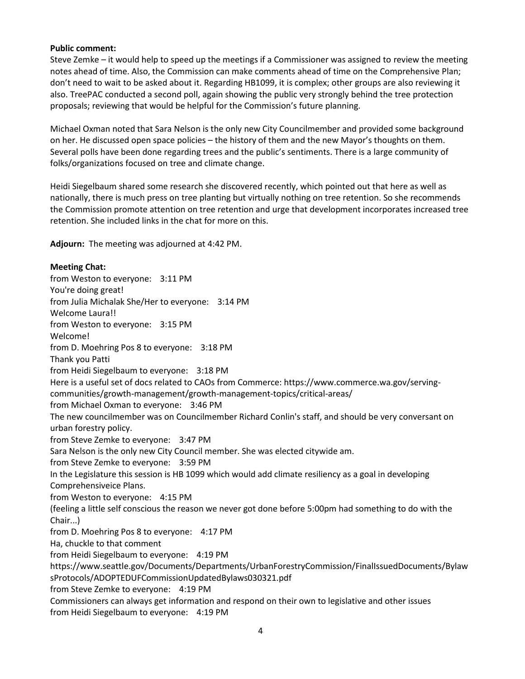#### **Public comment:**

Steve Zemke – it would help to speed up the meetings if a Commissioner was assigned to review the meeting notes ahead of time. Also, the Commission can make comments ahead of time on the Comprehensive Plan; don't need to wait to be asked about it. Regarding HB1099, it is complex; other groups are also reviewing it also. TreePAC conducted a second poll, again showing the public very strongly behind the tree protection proposals; reviewing that would be helpful for the Commission's future planning.

Michael Oxman noted that Sara Nelson is the only new City Councilmember and provided some background on her. He discussed open space policies – the history of them and the new Mayor's thoughts on them. Several polls have been done regarding trees and the public's sentiments. There is a large community of folks/organizations focused on tree and climate change.

Heidi Siegelbaum shared some research she discovered recently, which pointed out that here as well as nationally, there is much press on tree planting but virtually nothing on tree retention. So she recommends the Commission promote attention on tree retention and urge that development incorporates increased tree retention. She included links in the chat for more on this.

**Adjourn:** The meeting was adjourned at 4:42 PM.

### **Meeting Chat:**

from Weston to everyone: 3:11 PM You're doing great! from Julia Michalak She/Her to everyone: 3:14 PM Welcome Laura!! from Weston to everyone: 3:15 PM Welcome! from D. Moehring Pos 8 to everyone: 3:18 PM Thank you Patti from Heidi Siegelbaum to everyone: 3:18 PM Here is a useful set of docs related to CAOs from Commerce: https://www.commerce.wa.gov/servingcommunities/growth-management/growth-management-topics/critical-areas/ from Michael Oxman to everyone: 3:46 PM The new councilmember was on Councilmember Richard Conlin's staff, and should be very conversant on urban forestry policy. from Steve Zemke to everyone: 3:47 PM Sara Nelson is the only new City Council member. She was elected citywide am. from Steve Zemke to everyone: 3:59 PM In the Legislature this session is HB 1099 which would add climate resiliency as a goal in developing Comprehensiveice Plans. from Weston to everyone: 4:15 PM (feeling a little self conscious the reason we never got done before 5:00pm had something to do with the Chair...) from D. Moehring Pos 8 to everyone: 4:17 PM Ha, chuckle to that comment from Heidi Siegelbaum to everyone: 4:19 PM https://www.seattle.gov/Documents/Departments/UrbanForestryCommission/FinalIssuedDocuments/Bylaw sProtocols/ADOPTEDUFCommissionUpdatedBylaws030321.pdf from Steve Zemke to everyone: 4:19 PM Commissioners can always get information and respond on their own to legislative and other issues

from Heidi Siegelbaum to everyone: 4:19 PM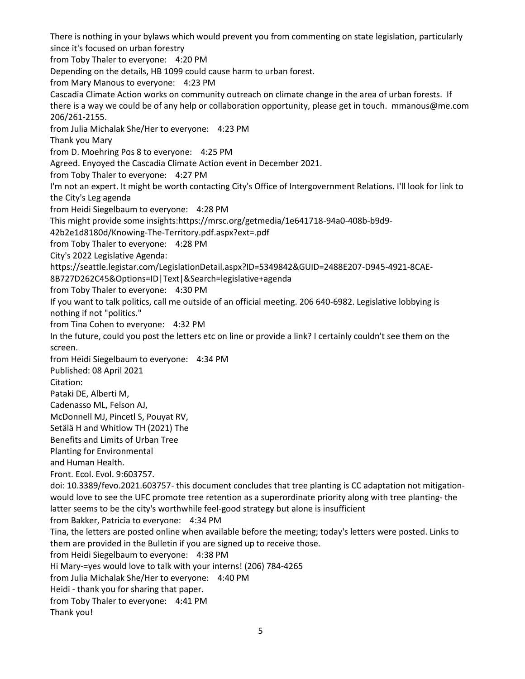There is nothing in your bylaws which would prevent you from commenting on state legislation, particularly since it's focused on urban forestry from Toby Thaler to everyone: 4:20 PM Depending on the details, HB 1099 could cause harm to urban forest. from Mary Manous to everyone: 4:23 PM Cascadia Climate Action works on community outreach on climate change in the area of urban forests. If there is a way we could be of any help or collaboration opportunity, please get in touch. mmanous@me.com 206/261-2155. from Julia Michalak She/Her to everyone: 4:23 PM Thank you Mary from D. Moehring Pos 8 to everyone: 4:25 PM Agreed. Enyoyed the Cascadia Climate Action event in December 2021. from Toby Thaler to everyone: 4:27 PM I'm not an expert. It might be worth contacting City's Office of Intergovernment Relations. I'll look for link to the City's Leg agenda from Heidi Siegelbaum to everyone: 4:28 PM This might provide some insights:https://mrsc.org/getmedia/1e641718-94a0-408b-b9d9- 42b2e1d8180d/Knowing-The-Territory.pdf.aspx?ext=.pdf from Toby Thaler to everyone: 4:28 PM City's 2022 Legislative Agenda: https://seattle.legistar.com/LegislationDetail.aspx?ID=5349842&GUID=2488E207-D945-4921-8CAE-8B727D262C45&Options=ID|Text|&Search=legislative+agenda from Toby Thaler to everyone: 4:30 PM If you want to talk politics, call me outside of an official meeting. 206 640-6982. Legislative lobbying is nothing if not "politics." from Tina Cohen to everyone: 4:32 PM In the future, could you post the letters etc on line or provide a link? I certainly couldn't see them on the screen. from Heidi Siegelbaum to everyone: 4:34 PM Published: 08 April 2021 Citation: Pataki DE, Alberti M, Cadenasso ML, Felson AJ, McDonnell MJ, Pincetl S, Pouyat RV, Setälä H and Whitlow TH (2021) The Benefits and Limits of Urban Tree Planting for Environmental and Human Health. Front. Ecol. Evol. 9:603757. doi: 10.3389/fevo.2021.603757- this document concludes that tree planting is CC adaptation not mitigationwould love to see the UFC promote tree retention as a superordinate priority along with tree planting- the latter seems to be the city's worthwhile feel-good strategy but alone is insufficient from Bakker, Patricia to everyone: 4:34 PM Tina, the letters are posted online when available before the meeting; today's letters were posted. Links to them are provided in the Bulletin if you are signed up to receive those. from Heidi Siegelbaum to everyone: 4:38 PM Hi Mary-=yes would love to talk with your interns! (206) 784-4265 from Julia Michalak She/Her to everyone: 4:40 PM Heidi - thank you for sharing that paper. from Toby Thaler to everyone: 4:41 PM Thank you!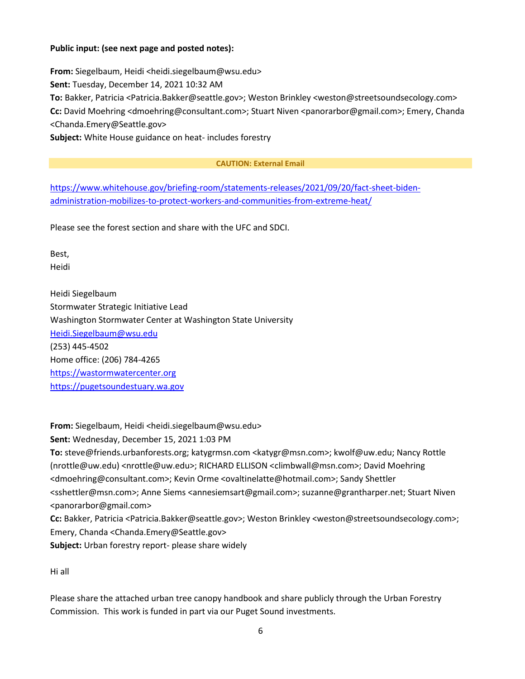### **Public input: (see next page and posted notes):**

**From:** Siegelbaum, Heidi <heidi.siegelbaum@wsu.edu> **Sent:** Tuesday, December 14, 2021 10:32 AM **To:** Bakker, Patricia <Patricia.Bakker@seattle.gov>; Weston Brinkley <weston@streetsoundsecology.com> **Cc:** David Moehring <dmoehring@consultant.com>; Stuart Niven <panorarbor@gmail.com>; Emery, Chanda <Chanda.Emery@Seattle.gov> **Subject:** White House guidance on heat- includes forestry

#### **CAUTION: External Email**

[https://www.whitehouse.gov/briefing-room/statements-releases/2021/09/20/fact-sheet-biden](https://www.whitehouse.gov/briefing-room/statements-releases/2021/09/20/fact-sheet-biden-administration-mobilizes-to-protect-workers-and-communities-from-extreme-heat/)[administration-mobilizes-to-protect-workers-and-communities-from-extreme-heat/](https://www.whitehouse.gov/briefing-room/statements-releases/2021/09/20/fact-sheet-biden-administration-mobilizes-to-protect-workers-and-communities-from-extreme-heat/)

Please see the forest section and share with the UFC and SDCI.

Best, Heidi

Heidi Siegelbaum Stormwater Strategic Initiative Lead Washington Stormwater Center at Washington State University [Heidi.Siegelbaum@wsu.edu](mailto:Heidi.Siegelbaum@wsu.edu) (253) 445-4502 Home office: (206) 784-4265 [https://wastormwatercenter.org](https://protect2.fireeye.com/v1/url?k=95a64fcb-ca3d772f-95a6677b-8621b744bf41-2d7e29b1ac0967bc&q=1&e=dc9c61fd-beab-4217-b9d7-34ac6a169ba4&u=https%3A%2F%2Fwastormwatercenter.org%2F) [https://pugetsoundestuary.wa.gov](https://pugetsoundestuary.wa.gov/)

**From:** Siegelbaum, Heidi <heidi.siegelbaum@wsu.edu> **Sent:** Wednesday, December 15, 2021 1:03 PM **To:** steve@friends.urbanforests.org; katygrmsn.com <katygr@msn.com>; kwolf@uw.edu; Nancy Rottle (nrottle@uw.edu) <nrottle@uw.edu>; RICHARD ELLISON <climbwall@msn.com>; David Moehring <dmoehring@consultant.com>; Kevin Orme <ovaltinelatte@hotmail.com>; Sandy Shettler <sshettler@msn.com>; Anne Siems <annesiemsart@gmail.com>; suzanne@grantharper.net; Stuart Niven <panorarbor@gmail.com> **Cc:** Bakker, Patricia <Patricia.Bakker@seattle.gov>; Weston Brinkley <weston@streetsoundsecology.com>; Emery, Chanda <Chanda.Emery@Seattle.gov>

**Subject:** Urban forestry report- please share widely

Hi all

Please share the attached urban tree canopy handbook and share publicly through the Urban Forestry Commission. This work is funded in part via our Puget Sound investments.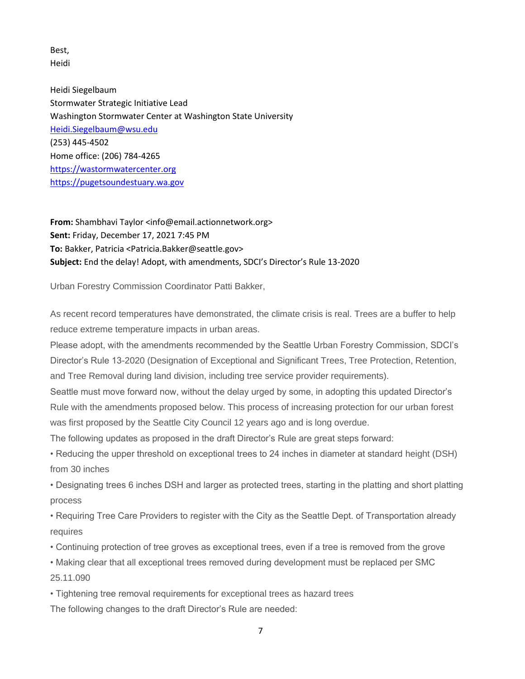Best, Heidi

Heidi Siegelbaum Stormwater Strategic Initiative Lead Washington Stormwater Center at Washington State University [Heidi.Siegelbaum@wsu.edu](mailto:Heidi.Siegelbaum@wsu.edu) (253) 445-4502 Home office: (206) 784-4265 [https://wastormwatercenter.org](https://protect2.fireeye.com/v1/url?k=e4806ca8-bb1b545e-e4804418-8681010e5614-7f9a88545df39e89&q=1&e=ed8f8906-b07e-4b92-82e3-9eb6a348d5e3&u=https%3A%2F%2Fwastormwatercenter.org%2F) [https://pugetsoundestuary.wa.gov](https://pugetsoundestuary.wa.gov/)

From: Shambhavi Taylor <info@email.actionnetwork.org> **Sent:** Friday, December 17, 2021 7:45 PM **To:** Bakker, Patricia <Patricia.Bakker@seattle.gov> **Subject:** End the delay! Adopt, with amendments, SDCI's Director's Rule 13-2020

Urban Forestry Commission Coordinator Patti Bakker,

As recent record temperatures have demonstrated, the climate crisis is real. Trees are a buffer to help reduce extreme temperature impacts in urban areas.

Please adopt, with the amendments recommended by the Seattle Urban Forestry Commission, SDCI's Director's Rule 13-2020 (Designation of Exceptional and Significant Trees, Tree Protection, Retention, and Tree Removal during land division, including tree service provider requirements).

Seattle must move forward now, without the delay urged by some, in adopting this updated Director's Rule with the amendments proposed below. This process of increasing protection for our urban forest was first proposed by the Seattle City Council 12 years ago and is long overdue.

The following updates as proposed in the draft Director's Rule are great steps forward:

• Reducing the upper threshold on exceptional trees to 24 inches in diameter at standard height (DSH) from 30 inches

• Designating trees 6 inches DSH and larger as protected trees, starting in the platting and short platting process

• Requiring Tree Care Providers to register with the City as the Seattle Dept. of Transportation already requires

• Continuing protection of tree groves as exceptional trees, even if a tree is removed from the grove

• Making clear that all exceptional trees removed during development must be replaced per SMC 25.11.090

• Tightening tree removal requirements for exceptional trees as hazard trees The following changes to the draft Director's Rule are needed: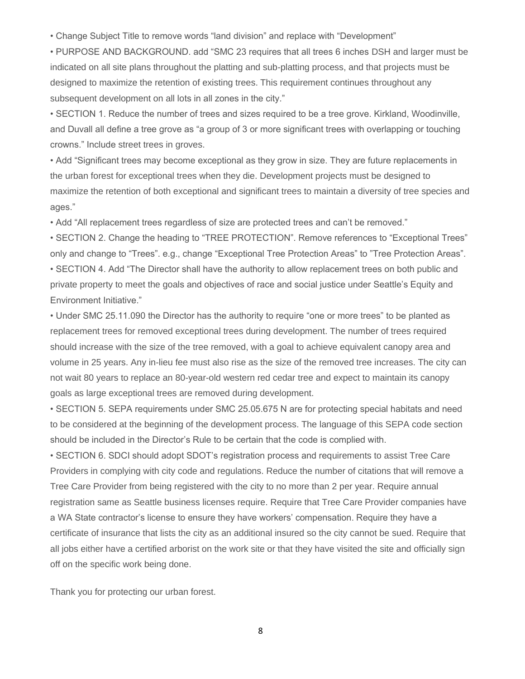• Change Subject Title to remove words "land division" and replace with "Development"

• PURPOSE AND BACKGROUND. add "SMC 23 requires that all trees 6 inches DSH and larger must be indicated on all site plans throughout the platting and sub-platting process, and that projects must be designed to maximize the retention of existing trees. This requirement continues throughout any subsequent development on all lots in all zones in the city."

• SECTION 1. Reduce the number of trees and sizes required to be a tree grove. Kirkland, Woodinville, and Duvall all define a tree grove as "a group of 3 or more significant trees with overlapping or touching crowns." Include street trees in groves.

• Add "Significant trees may become exceptional as they grow in size. They are future replacements in the urban forest for exceptional trees when they die. Development projects must be designed to maximize the retention of both exceptional and significant trees to maintain a diversity of tree species and ages."

• Add "All replacement trees regardless of size are protected trees and can't be removed."

• SECTION 2. Change the heading to "TREE PROTECTION". Remove references to "Exceptional Trees" only and change to "Trees". e.g., change "Exceptional Tree Protection Areas" to "Tree Protection Areas". • SECTION 4. Add "The Director shall have the authority to allow replacement trees on both public and

private property to meet the goals and objectives of race and social justice under Seattle's Equity and Environment Initiative."

• Under SMC 25.11.090 the Director has the authority to require "one or more trees" to be planted as replacement trees for removed exceptional trees during development. The number of trees required should increase with the size of the tree removed, with a goal to achieve equivalent canopy area and volume in 25 years. Any in-lieu fee must also rise as the size of the removed tree increases. The city can not wait 80 years to replace an 80-year-old western red cedar tree and expect to maintain its canopy goals as large exceptional trees are removed during development.

• SECTION 5. SEPA requirements under SMC 25.05.675 N are for protecting special habitats and need to be considered at the beginning of the development process. The language of this SEPA code section should be included in the Director's Rule to be certain that the code is complied with.

• SECTION 6. SDCI should adopt SDOT's registration process and requirements to assist Tree Care Providers in complying with city code and regulations. Reduce the number of citations that will remove a Tree Care Provider from being registered with the city to no more than 2 per year. Require annual registration same as Seattle business licenses require. Require that Tree Care Provider companies have a WA State contractor's license to ensure they have workers' compensation. Require they have a certificate of insurance that lists the city as an additional insured so the city cannot be sued. Require that all jobs either have a certified arborist on the work site or that they have visited the site and officially sign off on the specific work being done.

Thank you for protecting our urban forest.

8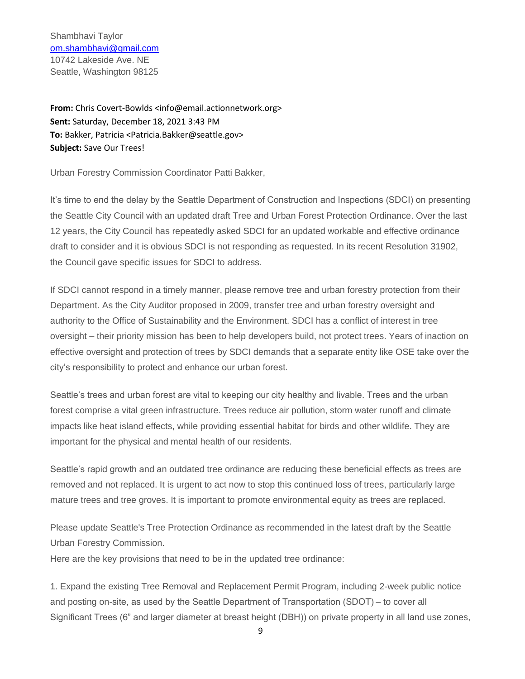Shambhavi Taylor [om.shambhavi@gmail.com](mailto:om.shambhavi@gmail.com) 10742 Lakeside Ave. NE Seattle, Washington 98125

**From:** Chris Covert-Bowlds <info@email.actionnetwork.org> **Sent:** Saturday, December 18, 2021 3:43 PM **To:** Bakker, Patricia <Patricia.Bakker@seattle.gov> **Subject:** Save Our Trees!

Urban Forestry Commission Coordinator Patti Bakker,

It's time to end the delay by the Seattle Department of Construction and Inspections (SDCI) on presenting the Seattle City Council with an updated draft Tree and Urban Forest Protection Ordinance. Over the last 12 years, the City Council has repeatedly asked SDCI for an updated workable and effective ordinance draft to consider and it is obvious SDCI is not responding as requested. In its recent Resolution 31902, the Council gave specific issues for SDCI to address.

If SDCI cannot respond in a timely manner, please remove tree and urban forestry protection from their Department. As the City Auditor proposed in 2009, transfer tree and urban forestry oversight and authority to the Office of Sustainability and the Environment. SDCI has a conflict of interest in tree oversight – their priority mission has been to help developers build, not protect trees. Years of inaction on effective oversight and protection of trees by SDCI demands that a separate entity like OSE take over the city's responsibility to protect and enhance our urban forest.

Seattle's trees and urban forest are vital to keeping our city healthy and livable. Trees and the urban forest comprise a vital green infrastructure. Trees reduce air pollution, storm water runoff and climate impacts like heat island effects, while providing essential habitat for birds and other wildlife. They are important for the physical and mental health of our residents.

Seattle's rapid growth and an outdated tree ordinance are reducing these beneficial effects as trees are removed and not replaced. It is urgent to act now to stop this continued loss of trees, particularly large mature trees and tree groves. It is important to promote environmental equity as trees are replaced.

Please update Seattle's Tree Protection Ordinance as recommended in the latest draft by the Seattle Urban Forestry Commission.

Here are the key provisions that need to be in the updated tree ordinance:

1. Expand the existing Tree Removal and Replacement Permit Program, including 2-week public notice and posting on-site, as used by the Seattle Department of Transportation (SDOT) – to cover all Significant Trees (6" and larger diameter at breast height (DBH)) on private property in all land use zones,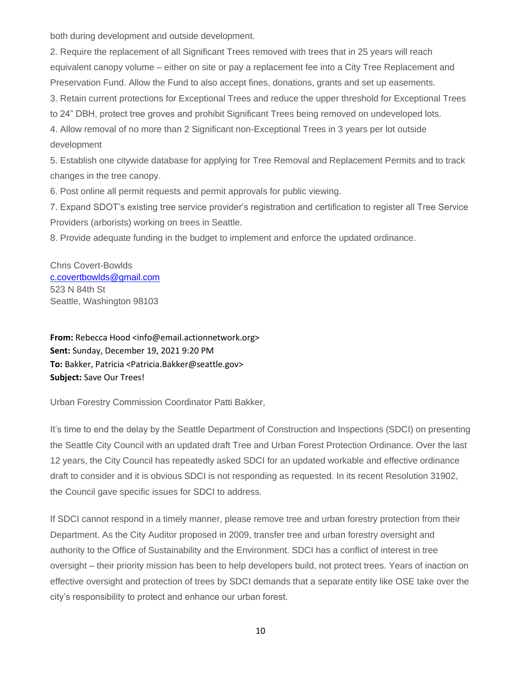both during development and outside development.

2. Require the replacement of all Significant Trees removed with trees that in 25 years will reach equivalent canopy volume – either on site or pay a replacement fee into a City Tree Replacement and Preservation Fund. Allow the Fund to also accept fines, donations, grants and set up easements. 3. Retain current protections for Exceptional Trees and reduce the upper threshold for Exceptional Trees to 24" DBH, protect tree groves and prohibit Significant Trees being removed on undeveloped lots. 4. Allow removal of no more than 2 Significant non-Exceptional Trees in 3 years per lot outside development

5. Establish one citywide database for applying for Tree Removal and Replacement Permits and to track changes in the tree canopy.

6. Post online all permit requests and permit approvals for public viewing.

7. Expand SDOT's existing tree service provider's registration and certification to register all Tree Service Providers (arborists) working on trees in Seattle.

8. Provide adequate funding in the budget to implement and enforce the updated ordinance.

Chris Covert-Bowlds [c.covertbowlds@gmail.com](mailto:c.covertbowlds@gmail.com) 523 N 84th St Seattle, Washington 98103

**From:** Rebecca Hood <info@email.actionnetwork.org> **Sent:** Sunday, December 19, 2021 9:20 PM **To:** Bakker, Patricia <Patricia.Bakker@seattle.gov> **Subject:** Save Our Trees!

Urban Forestry Commission Coordinator Patti Bakker,

It's time to end the delay by the Seattle Department of Construction and Inspections (SDCI) on presenting the Seattle City Council with an updated draft Tree and Urban Forest Protection Ordinance. Over the last 12 years, the City Council has repeatedly asked SDCI for an updated workable and effective ordinance draft to consider and it is obvious SDCI is not responding as requested. In its recent Resolution 31902, the Council gave specific issues for SDCI to address.

If SDCI cannot respond in a timely manner, please remove tree and urban forestry protection from their Department. As the City Auditor proposed in 2009, transfer tree and urban forestry oversight and authority to the Office of Sustainability and the Environment. SDCI has a conflict of interest in tree oversight – their priority mission has been to help developers build, not protect trees. Years of inaction on effective oversight and protection of trees by SDCI demands that a separate entity like OSE take over the city's responsibility to protect and enhance our urban forest.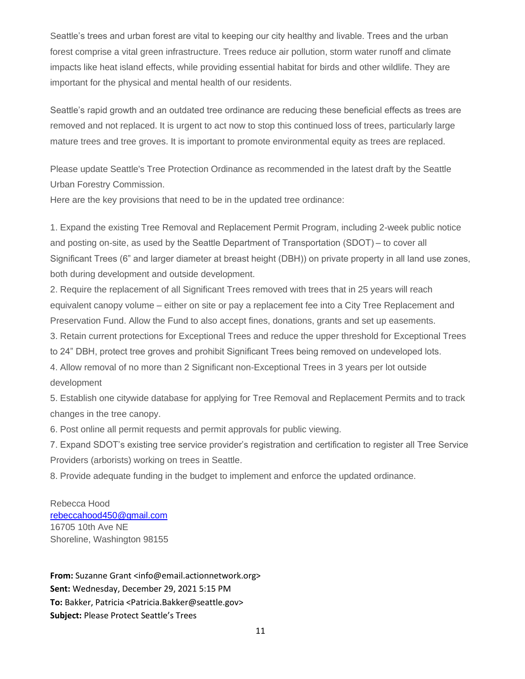Seattle's trees and urban forest are vital to keeping our city healthy and livable. Trees and the urban forest comprise a vital green infrastructure. Trees reduce air pollution, storm water runoff and climate impacts like heat island effects, while providing essential habitat for birds and other wildlife. They are important for the physical and mental health of our residents.

Seattle's rapid growth and an outdated tree ordinance are reducing these beneficial effects as trees are removed and not replaced. It is urgent to act now to stop this continued loss of trees, particularly large mature trees and tree groves. It is important to promote environmental equity as trees are replaced.

Please update Seattle's Tree Protection Ordinance as recommended in the latest draft by the Seattle Urban Forestry Commission.

Here are the key provisions that need to be in the updated tree ordinance:

1. Expand the existing Tree Removal and Replacement Permit Program, including 2-week public notice and posting on-site, as used by the Seattle Department of Transportation (SDOT) – to cover all Significant Trees (6" and larger diameter at breast height (DBH)) on private property in all land use zones, both during development and outside development.

2. Require the replacement of all Significant Trees removed with trees that in 25 years will reach equivalent canopy volume – either on site or pay a replacement fee into a City Tree Replacement and Preservation Fund. Allow the Fund to also accept fines, donations, grants and set up easements.

3. Retain current protections for Exceptional Trees and reduce the upper threshold for Exceptional Trees

to 24" DBH, protect tree groves and prohibit Significant Trees being removed on undeveloped lots.

4. Allow removal of no more than 2 Significant non-Exceptional Trees in 3 years per lot outside development

5. Establish one citywide database for applying for Tree Removal and Replacement Permits and to track changes in the tree canopy.

6. Post online all permit requests and permit approvals for public viewing.

7. Expand SDOT's existing tree service provider's registration and certification to register all Tree Service Providers (arborists) working on trees in Seattle.

8. Provide adequate funding in the budget to implement and enforce the updated ordinance.

Rebecca Hood [rebeccahood450@gmail.com](mailto:rebeccahood450@gmail.com) 16705 10th Ave NE Shoreline, Washington 98155

**From:** Suzanne Grant <info@email.actionnetwork.org> **Sent:** Wednesday, December 29, 2021 5:15 PM **To:** Bakker, Patricia <Patricia.Bakker@seattle.gov> **Subject:** Please Protect Seattle's Trees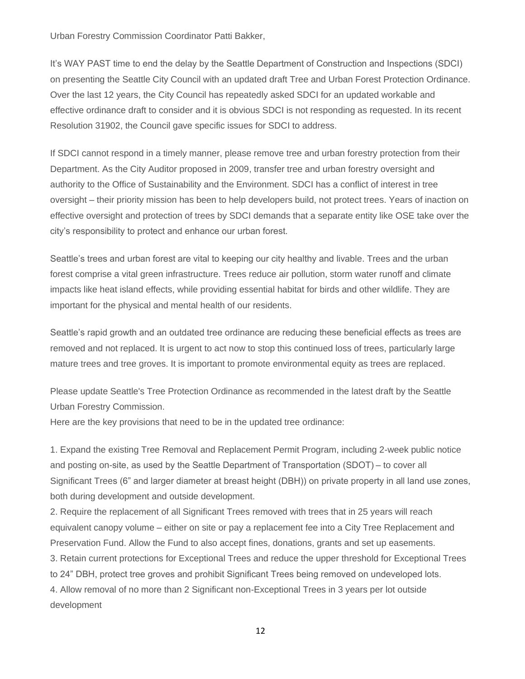Urban Forestry Commission Coordinator Patti Bakker,

It's WAY PAST time to end the delay by the Seattle Department of Construction and Inspections (SDCI) on presenting the Seattle City Council with an updated draft Tree and Urban Forest Protection Ordinance. Over the last 12 years, the City Council has repeatedly asked SDCI for an updated workable and effective ordinance draft to consider and it is obvious SDCI is not responding as requested. In its recent Resolution 31902, the Council gave specific issues for SDCI to address.

If SDCI cannot respond in a timely manner, please remove tree and urban forestry protection from their Department. As the City Auditor proposed in 2009, transfer tree and urban forestry oversight and authority to the Office of Sustainability and the Environment. SDCI has a conflict of interest in tree oversight – their priority mission has been to help developers build, not protect trees. Years of inaction on effective oversight and protection of trees by SDCI demands that a separate entity like OSE take over the city's responsibility to protect and enhance our urban forest.

Seattle's trees and urban forest are vital to keeping our city healthy and livable. Trees and the urban forest comprise a vital green infrastructure. Trees reduce air pollution, storm water runoff and climate impacts like heat island effects, while providing essential habitat for birds and other wildlife. They are important for the physical and mental health of our residents.

Seattle's rapid growth and an outdated tree ordinance are reducing these beneficial effects as trees are removed and not replaced. It is urgent to act now to stop this continued loss of trees, particularly large mature trees and tree groves. It is important to promote environmental equity as trees are replaced.

Please update Seattle's Tree Protection Ordinance as recommended in the latest draft by the Seattle Urban Forestry Commission.

Here are the key provisions that need to be in the updated tree ordinance:

1. Expand the existing Tree Removal and Replacement Permit Program, including 2-week public notice and posting on-site, as used by the Seattle Department of Transportation (SDOT) – to cover all Significant Trees (6" and larger diameter at breast height (DBH)) on private property in all land use zones, both during development and outside development.

2. Require the replacement of all Significant Trees removed with trees that in 25 years will reach equivalent canopy volume – either on site or pay a replacement fee into a City Tree Replacement and Preservation Fund. Allow the Fund to also accept fines, donations, grants and set up easements.

3. Retain current protections for Exceptional Trees and reduce the upper threshold for Exceptional Trees

to 24" DBH, protect tree groves and prohibit Significant Trees being removed on undeveloped lots.

4. Allow removal of no more than 2 Significant non-Exceptional Trees in 3 years per lot outside development

12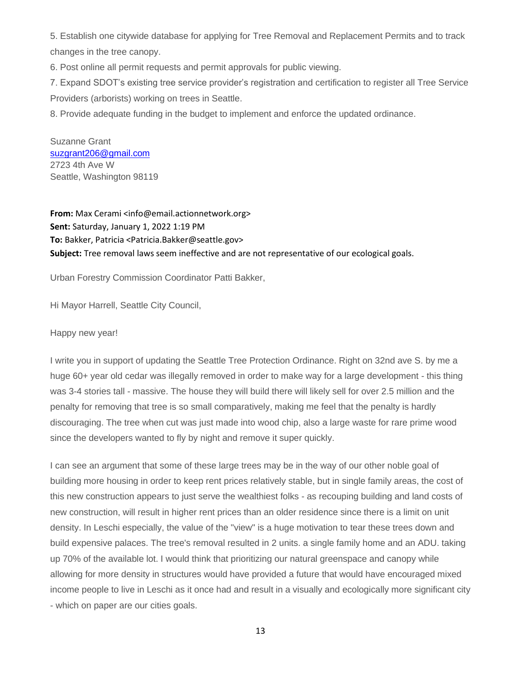5. Establish one citywide database for applying for Tree Removal and Replacement Permits and to track changes in the tree canopy.

6. Post online all permit requests and permit approvals for public viewing.

7. Expand SDOT's existing tree service provider's registration and certification to register all Tree Service Providers (arborists) working on trees in Seattle.

8. Provide adequate funding in the budget to implement and enforce the updated ordinance.

Suzanne Grant [suzgrant206@gmail.com](mailto:suzgrant206@gmail.com) 2723 4th Ave W Seattle, Washington 98119

**From:** Max Cerami <info@email.actionnetwork.org> **Sent:** Saturday, January 1, 2022 1:19 PM **To:** Bakker, Patricia <Patricia.Bakker@seattle.gov> **Subject:** Tree removal laws seem ineffective and are not representative of our ecological goals.

Urban Forestry Commission Coordinator Patti Bakker,

Hi Mayor Harrell, Seattle City Council,

#### Happy new year!

I write you in support of updating the Seattle Tree Protection Ordinance. Right on 32nd ave S. by me a huge 60+ year old cedar was illegally removed in order to make way for a large development - this thing was 3-4 stories tall - massive. The house they will build there will likely sell for over 2.5 million and the penalty for removing that tree is so small comparatively, making me feel that the penalty is hardly discouraging. The tree when cut was just made into wood chip, also a large waste for rare prime wood since the developers wanted to fly by night and remove it super quickly.

I can see an argument that some of these large trees may be in the way of our other noble goal of building more housing in order to keep rent prices relatively stable, but in single family areas, the cost of this new construction appears to just serve the wealthiest folks - as recouping building and land costs of new construction, will result in higher rent prices than an older residence since there is a limit on unit density. In Leschi especially, the value of the "view" is a huge motivation to tear these trees down and build expensive palaces. The tree's removal resulted in 2 units. a single family home and an ADU. taking up 70% of the available lot. I would think that prioritizing our natural greenspace and canopy while allowing for more density in structures would have provided a future that would have encouraged mixed income people to live in Leschi as it once had and result in a visually and ecologically more significant city - which on paper are our cities goals.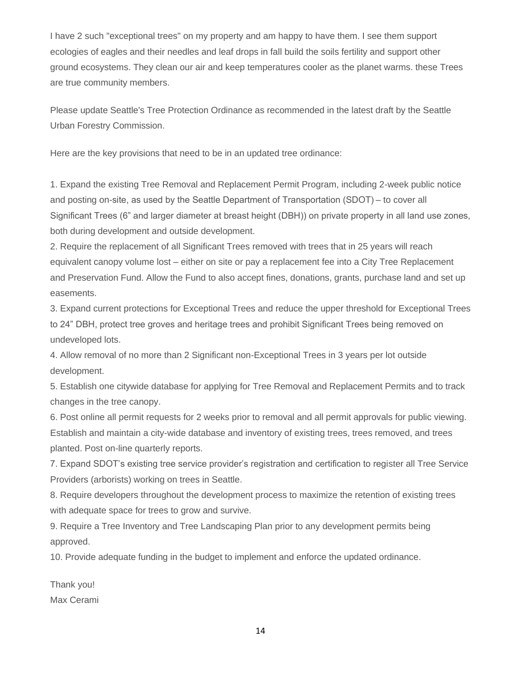I have 2 such "exceptional trees" on my property and am happy to have them. I see them support ecologies of eagles and their needles and leaf drops in fall build the soils fertility and support other ground ecosystems. They clean our air and keep temperatures cooler as the planet warms. these Trees are true community members.

Please update Seattle's Tree Protection Ordinance as recommended in the latest draft by the Seattle Urban Forestry Commission.

Here are the key provisions that need to be in an updated tree ordinance:

1. Expand the existing Tree Removal and Replacement Permit Program, including 2-week public notice and posting on-site, as used by the Seattle Department of Transportation (SDOT) – to cover all Significant Trees (6" and larger diameter at breast height (DBH)) on private property in all land use zones, both during development and outside development.

2. Require the replacement of all Significant Trees removed with trees that in 25 years will reach equivalent canopy volume lost – either on site or pay a replacement fee into a City Tree Replacement and Preservation Fund. Allow the Fund to also accept fines, donations, grants, purchase land and set up easements.

3. Expand current protections for Exceptional Trees and reduce the upper threshold for Exceptional Trees to 24" DBH, protect tree groves and heritage trees and prohibit Significant Trees being removed on undeveloped lots.

4. Allow removal of no more than 2 Significant non-Exceptional Trees in 3 years per lot outside development.

5. Establish one citywide database for applying for Tree Removal and Replacement Permits and to track changes in the tree canopy.

6. Post online all permit requests for 2 weeks prior to removal and all permit approvals for public viewing. Establish and maintain a city-wide database and inventory of existing trees, trees removed, and trees planted. Post on-line quarterly reports.

7. Expand SDOT's existing tree service provider's registration and certification to register all Tree Service Providers (arborists) working on trees in Seattle.

8. Require developers throughout the development process to maximize the retention of existing trees with adequate space for trees to grow and survive.

9. Require a Tree Inventory and Tree Landscaping Plan prior to any development permits being approved.

10. Provide adequate funding in the budget to implement and enforce the updated ordinance.

Thank you! Max Cerami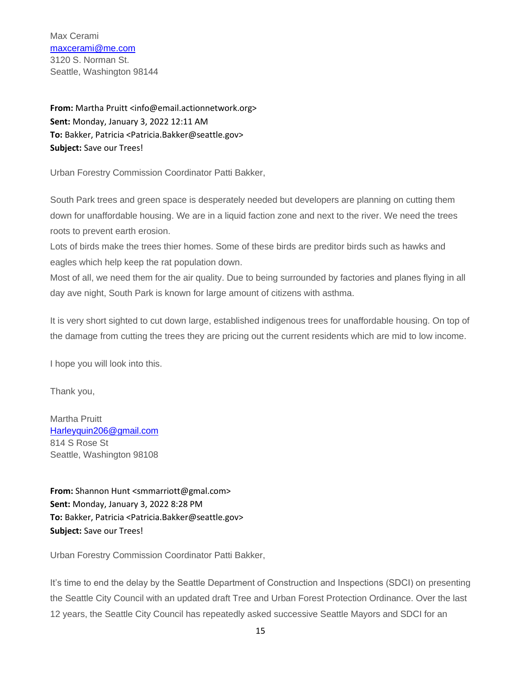Max Cerami [maxcerami@me.com](mailto:maxcerami@me.com) 3120 S. Norman St. Seattle, Washington 98144

**From:** Martha Pruitt <info@email.actionnetwork.org> **Sent:** Monday, January 3, 2022 12:11 AM **To:** Bakker, Patricia <Patricia.Bakker@seattle.gov> **Subject:** Save our Trees!

Urban Forestry Commission Coordinator Patti Bakker,

South Park trees and green space is desperately needed but developers are planning on cutting them down for unaffordable housing. We are in a liquid faction zone and next to the river. We need the trees roots to prevent earth erosion.

Lots of birds make the trees thier homes. Some of these birds are preditor birds such as hawks and eagles which help keep the rat population down.

Most of all, we need them for the air quality. Due to being surrounded by factories and planes flying in all day ave night, South Park is known for large amount of citizens with asthma.

It is very short sighted to cut down large, established indigenous trees for unaffordable housing. On top of the damage from cutting the trees they are pricing out the current residents which are mid to low income.

I hope you will look into this.

Thank you,

Martha Pruitt [Harleyquin206@gmail.com](mailto:Harleyquin206@gmail.com) 814 S Rose St Seattle, Washington 98108

**From:** Shannon Hunt <smmarriott@gmal.com> **Sent:** Monday, January 3, 2022 8:28 PM **To:** Bakker, Patricia <Patricia.Bakker@seattle.gov> **Subject:** Save our Trees!

Urban Forestry Commission Coordinator Patti Bakker,

It's time to end the delay by the Seattle Department of Construction and Inspections (SDCI) on presenting the Seattle City Council with an updated draft Tree and Urban Forest Protection Ordinance. Over the last 12 years, the Seattle City Council has repeatedly asked successive Seattle Mayors and SDCI for an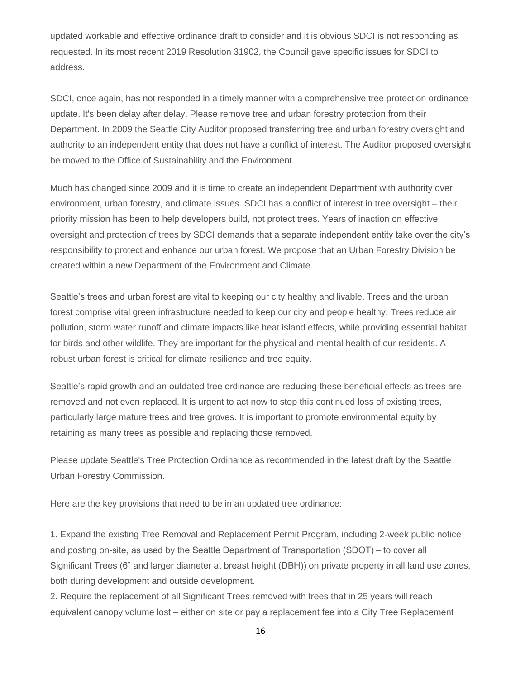updated workable and effective ordinance draft to consider and it is obvious SDCI is not responding as requested. In its most recent 2019 Resolution 31902, the Council gave specific issues for SDCI to address.

SDCI, once again, has not responded in a timely manner with a comprehensive tree protection ordinance update. It's been delay after delay. Please remove tree and urban forestry protection from their Department. In 2009 the Seattle City Auditor proposed transferring tree and urban forestry oversight and authority to an independent entity that does not have a conflict of interest. The Auditor proposed oversight be moved to the Office of Sustainability and the Environment.

Much has changed since 2009 and it is time to create an independent Department with authority over environment, urban forestry, and climate issues. SDCI has a conflict of interest in tree oversight – their priority mission has been to help developers build, not protect trees. Years of inaction on effective oversight and protection of trees by SDCI demands that a separate independent entity take over the city's responsibility to protect and enhance our urban forest. We propose that an Urban Forestry Division be created within a new Department of the Environment and Climate.

Seattle's trees and urban forest are vital to keeping our city healthy and livable. Trees and the urban forest comprise vital green infrastructure needed to keep our city and people healthy. Trees reduce air pollution, storm water runoff and climate impacts like heat island effects, while providing essential habitat for birds and other wildlife. They are important for the physical and mental health of our residents. A robust urban forest is critical for climate resilience and tree equity.

Seattle's rapid growth and an outdated tree ordinance are reducing these beneficial effects as trees are removed and not even replaced. It is urgent to act now to stop this continued loss of existing trees, particularly large mature trees and tree groves. It is important to promote environmental equity by retaining as many trees as possible and replacing those removed.

Please update Seattle's Tree Protection Ordinance as recommended in the latest draft by the Seattle Urban Forestry Commission.

Here are the key provisions that need to be in an updated tree ordinance:

1. Expand the existing Tree Removal and Replacement Permit Program, including 2-week public notice and posting on-site, as used by the Seattle Department of Transportation (SDOT) – to cover all Significant Trees (6" and larger diameter at breast height (DBH)) on private property in all land use zones, both during development and outside development.

2. Require the replacement of all Significant Trees removed with trees that in 25 years will reach equivalent canopy volume lost – either on site or pay a replacement fee into a City Tree Replacement

16